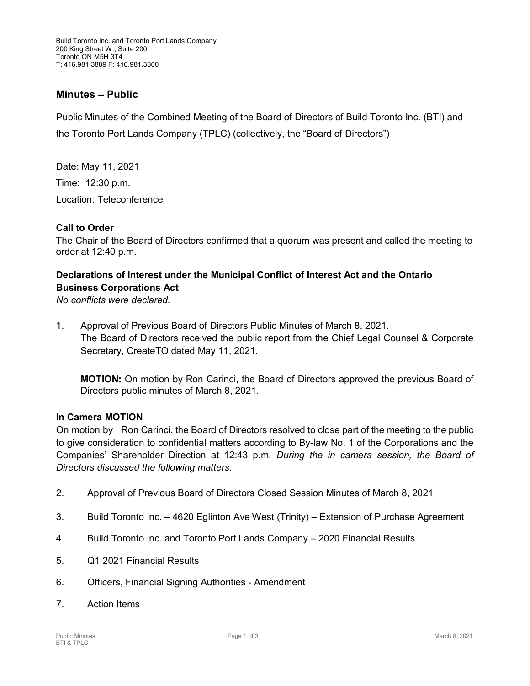## **Minutes – Public**

Public Minutes of the Combined Meeting of the Board of Directors of Build Toronto Inc. (BTI) and the Toronto Port Lands Company (TPLC) (collectively, the "Board of Directors")

Date: May 11, 2021

Time: 12:30 p.m.

Location: Teleconference

#### **Call to Order**

The Chair of the Board of Directors confirmed that a quorum was present and called the meeting to order at 12:40 p.m.

### **Declarations of Interest under the Municipal Conflict of Interest Act and the Ontario Business Corporations Act**

*No conflicts were declared.*

1. Approval of Previous Board of Directors Public Minutes of March 8, 2021. The Board of Directors received the public report from the Chief Legal Counsel & Corporate Secretary, CreateTO dated May 11, 2021.

**MOTION:** On motion by Ron Carinci, the Board of Directors approved the previous Board of Directors public minutes of March 8, 2021.

#### **In Camera MOTION**

On motion by Ron Carinci, the Board of Directors resolved to close part of the meeting to the public to give consideration to confidential matters according to By-law No. 1 of the Corporations and the Companies' Shareholder Direction at 12:43 p.m. *During the in camera session, the Board of Directors discussed the following matters.*

- 2. Approval of Previous Board of Directors Closed Session Minutes of March 8, 2021
- 3. Build Toronto Inc. 4620 Eglinton Ave West (Trinity) Extension of Purchase Agreement
- 4. Build Toronto Inc. and Toronto Port Lands Company 2020 Financial Results
- 5. Q1 2021 Financial Results
- 6. Officers, Financial Signing Authorities Amendment
- 7. Action Items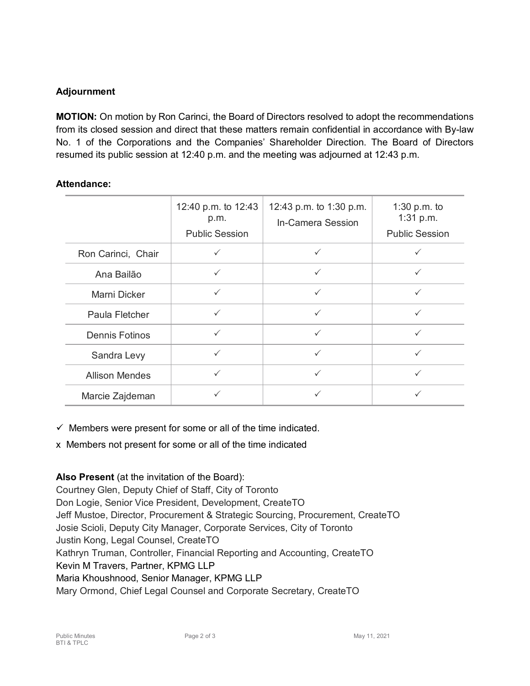# **Adjournment**

**MOTION:** On motion by Ron Carinci, the Board of Directors resolved to adopt the recommendations from its closed session and direct that these matters remain confidential in accordance with By-law No. 1 of the Corporations and the Companies' Shareholder Direction. The Board of Directors resumed its public session at 12:40 p.m. and the meeting was adjourned at 12:43 p.m.

### **Attendance:**

|                       | 12:40 p.m. to 12:43<br>p.m.<br><b>Public Session</b> | 12:43 p.m. to 1:30 p.m.<br>In-Camera Session | 1:30 p.m. to<br>1:31 p.m.<br><b>Public Session</b> |
|-----------------------|------------------------------------------------------|----------------------------------------------|----------------------------------------------------|
| Ron Carinci, Chair    | ✓                                                    | $\checkmark$                                 |                                                    |
| Ana Bailão            | $\checkmark$                                         | $\checkmark$                                 | $\checkmark$                                       |
| Marni Dicker          | $\checkmark$                                         | $\checkmark$                                 | ✓                                                  |
| Paula Fletcher        | $\checkmark$                                         | $\checkmark$                                 | ✓                                                  |
| <b>Dennis Fotinos</b> | $\checkmark$                                         | $\checkmark$                                 | $\checkmark$                                       |
| Sandra Levy           | ✓                                                    | $\checkmark$                                 | ✓                                                  |
| <b>Allison Mendes</b> | ✓                                                    | ✓                                            | $\checkmark$                                       |
| Marcie Zajdeman       | ✓                                                    |                                              |                                                    |

 $\checkmark$  Members were present for some or all of the time indicated.

x Members not present for some or all of the time indicated

### **Also Present** (at the invitation of the Board):

Courtney Glen, Deputy Chief of Staff, City of Toronto Don Logie, Senior Vice President, Development, CreateTO Jeff Mustoe, Director, Procurement & Strategic Sourcing, Procurement, CreateTO Josie Scioli, Deputy City Manager, Corporate Services, City of Toronto Justin Kong, Legal Counsel, CreateTO Kathryn Truman, Controller, Financial Reporting and Accounting, CreateTO Kevin M Travers, Partner, KPMG LLP Maria Khoushnood, Senior Manager, KPMG LLP Mary Ormond, Chief Legal Counsel and Corporate Secretary, CreateTO